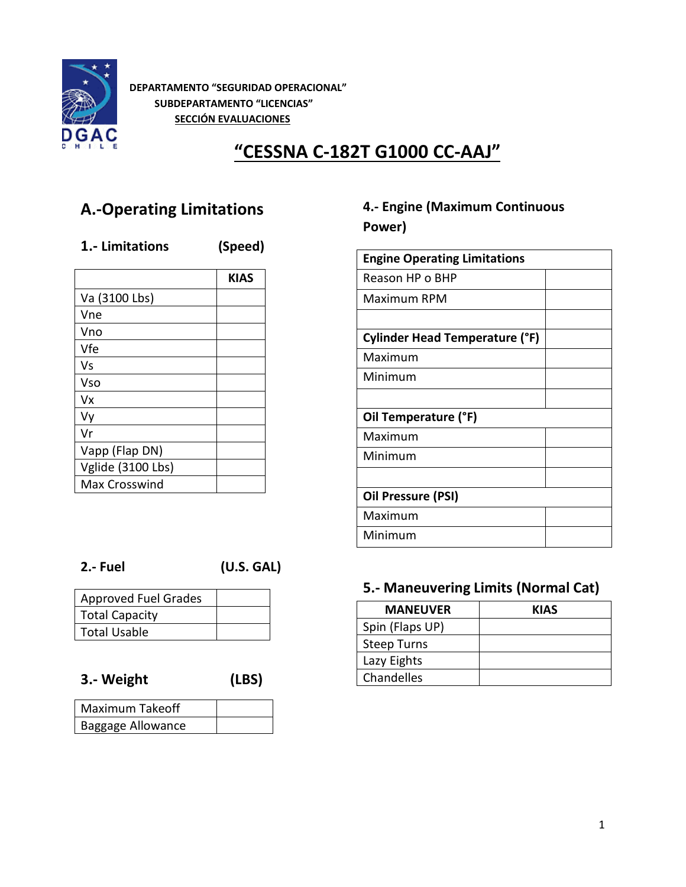

**DEPARTAMENTO "SEGURIDAD OPERACIONAL" SUBDEPARTAMENTO "LICENCIAS" SECCIÓN EVALUACIONES**

# **"CESSNA C-182T G1000 CC-AAJ"**

# **A.-Operating Limitations**

### **1.- Limitations (Speed)**

| <b>KIAS</b> |
|-------------|
|             |
|             |
|             |
|             |
|             |
|             |
|             |
|             |
|             |
|             |
|             |
|             |
|             |

# **4.- Engine (Maximum Continuous Power)**

**2.- Fuel (U.S. GAL)**

| <b>Approved Fuel Grades</b> |  |
|-----------------------------|--|
| <b>Total Capacity</b>       |  |
| Total Usable                |  |

**3.- Weight (LBS)**

| Maximum Takeoff   |  |
|-------------------|--|
| Baggage Allowance |  |

## **5.- Maneuvering Limits (Normal Cat)**

| <b>MANEUVER</b>    | <b>KIAS</b> |
|--------------------|-------------|
| Spin (Flaps UP)    |             |
| <b>Steep Turns</b> |             |
| Lazy Eights        |             |
| Chandelles         |             |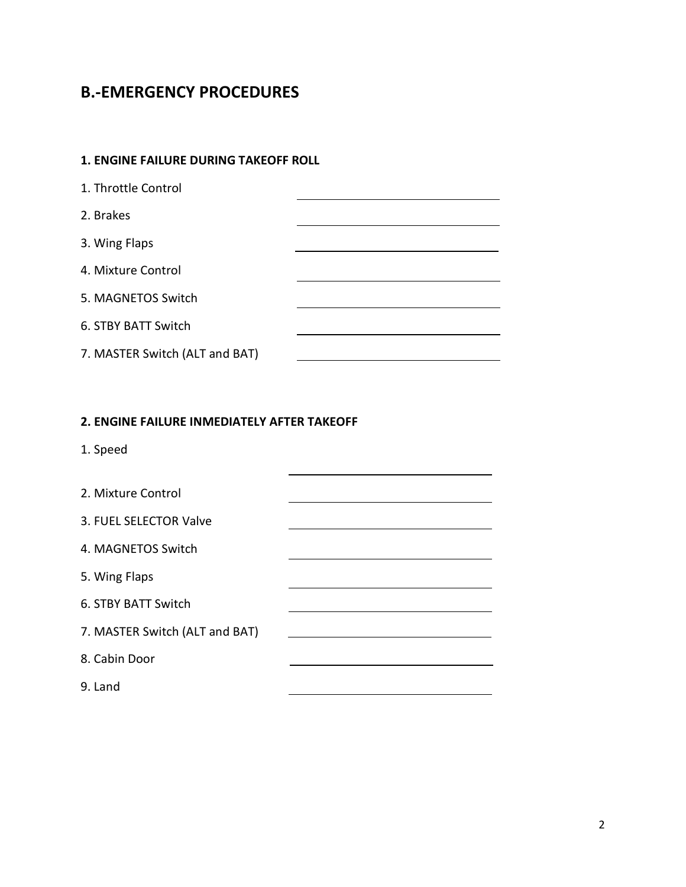# **B.-EMERGENCY PROCEDURES**

### **1. ENGINE FAILURE DURING TAKEOFF ROLL**

| 1. Throttle Control            |  |
|--------------------------------|--|
| 2. Brakes                      |  |
| 3. Wing Flaps                  |  |
| 4. Mixture Control             |  |
| 5. MAGNETOS Switch             |  |
| 6. STBY BATT Switch            |  |
| 7. MASTER Switch (ALT and BAT) |  |

#### **2. ENGINE FAILURE INMEDIATELY AFTER TAKEOFF**

1. Speed

| 2. Mixture Control             |  |
|--------------------------------|--|
| 3. FUEL SELECTOR Valve         |  |
| 4. MAGNETOS Switch             |  |
| 5. Wing Flaps                  |  |
| 6. STBY BATT Switch            |  |
| 7. MASTER Switch (ALT and BAT) |  |
| 8. Cabin Door                  |  |
| 9. Land                        |  |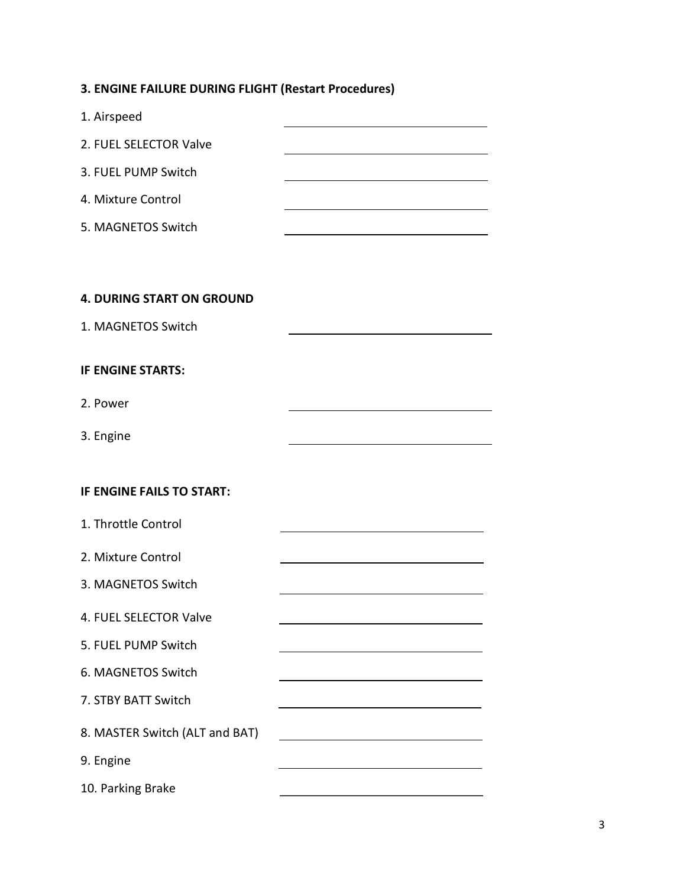|  |  |  |  |  | 3. ENGINE FAILURE DURING FLIGHT (Restart Procedures) |
|--|--|--|--|--|------------------------------------------------------|
|--|--|--|--|--|------------------------------------------------------|

| 1. Airspeed                      |                                                         |
|----------------------------------|---------------------------------------------------------|
| 2. FUEL SELECTOR Valve           |                                                         |
| 3. FUEL PUMP Switch              |                                                         |
| 4. Mixture Control               |                                                         |
| 5. MAGNETOS Switch               |                                                         |
|                                  |                                                         |
| <b>4. DURING START ON GROUND</b> |                                                         |
| 1. MAGNETOS Switch               |                                                         |
|                                  |                                                         |
| <b>IF ENGINE STARTS:</b>         |                                                         |
| 2. Power                         |                                                         |
| 3. Engine                        |                                                         |
|                                  |                                                         |
| IF ENGINE FAILS TO START:        |                                                         |
| 1. Throttle Control              |                                                         |
| 2. Mixture Control               |                                                         |
| 3. MAGNETOS Switch               |                                                         |
| 4. FUEL SELECTOR Valve           |                                                         |
| 5. FUEL PUMP Switch              |                                                         |
| 6. MAGNETOS Switch               |                                                         |
| 7. STBY BATT Switch              |                                                         |
| 8. MASTER Switch (ALT and BAT)   | <u> 1989 - Johann Stein, mars an de Brasilia (b. 19</u> |
| 9. Engine                        |                                                         |
| 10. Parking Brake                |                                                         |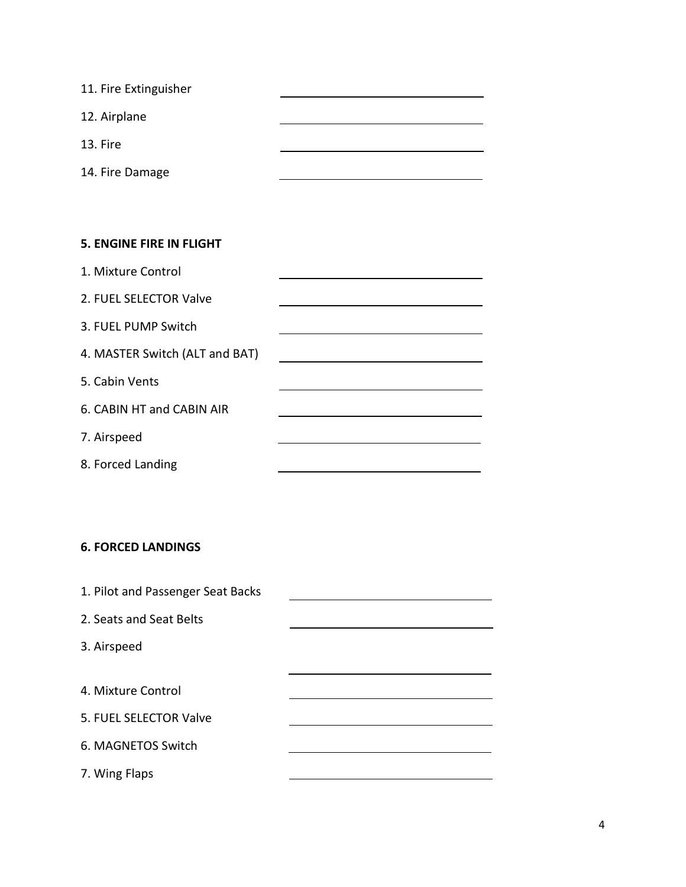| 11. Fire Extinguisher |  |
|-----------------------|--|
| 12. Airplane          |  |
| 13. Fire              |  |
| 14. Fire Damage       |  |

#### **5. ENGINE FIRE IN FLIGHT**

| 1. Mixture Control             |  |
|--------------------------------|--|
| 2. FUEL SELECTOR Valve         |  |
| 3. FUEL PUMP Switch            |  |
| 4. MASTER Switch (ALT and BAT) |  |
| 5. Cabin Vents                 |  |
| 6. CABIN HT and CABIN AIR      |  |
| 7. Airspeed                    |  |
| 8. Forced Landing              |  |

### **6. FORCED LANDINGS**

| 1. Pilot and Passenger Seat Backs |  |
|-----------------------------------|--|
| 2. Seats and Seat Belts           |  |
| 3. Airspeed                       |  |
|                                   |  |
| 4. Mixture Control                |  |
| 5. FUEL SELECTOR Valve            |  |
| 6. MAGNETOS Switch                |  |
| 7. Wing Flaps                     |  |